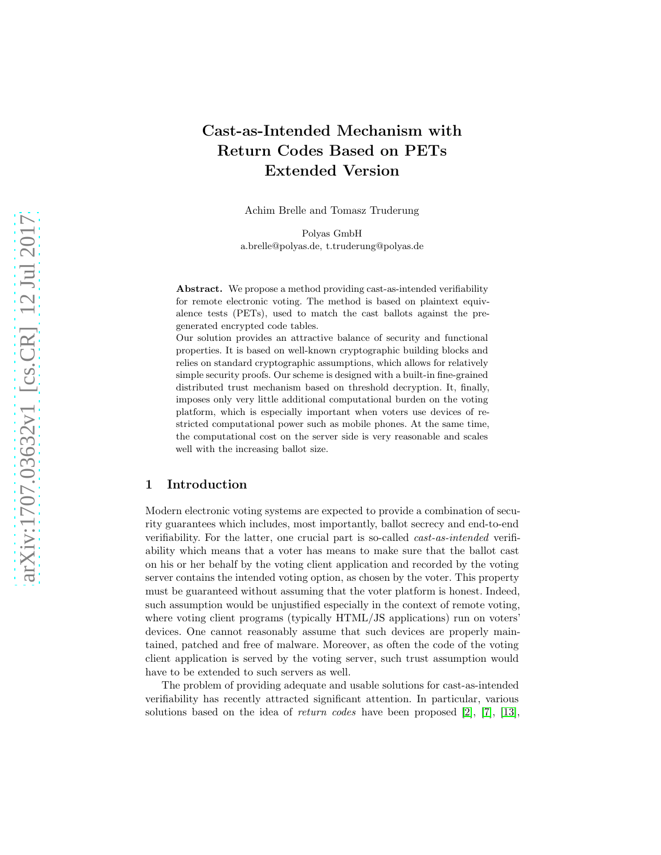# Cast-as-Intended Mechanism with Return Codes Based on PETs Extended Version

Achim Brelle and Tomasz Truderung

Polyas GmbH a.brelle@polyas.de, t.truderung@polyas.de

Abstract. We propose a method providing cast-as-intended verifiability for remote electronic voting. The method is based on plaintext equivalence tests (PETs), used to match the cast ballots against the pregenerated encrypted code tables.

Our solution provides an attractive balance of security and functional properties. It is based on well-known cryptographic building blocks and relies on standard cryptographic assumptions, which allows for relatively simple security proofs. Our scheme is designed with a built-in fine-grained distributed trust mechanism based on threshold decryption. It, finally, imposes only very little additional computational burden on the voting platform, which is especially important when voters use devices of restricted computational power such as mobile phones. At the same time, the computational cost on the server side is very reasonable and scales well with the increasing ballot size.

### 1 Introduction

Modern electronic voting systems are expected to provide a combination of security guarantees which includes, most importantly, ballot secrecy and end-to-end verifiability. For the latter, one crucial part is so-called cast-as-intended verifiability which means that a voter has means to make sure that the ballot cast on his or her behalf by the voting client application and recorded by the voting server contains the intended voting option, as chosen by the voter. This property must be guaranteed without assuming that the voter platform is honest. Indeed, such assumption would be unjustified especially in the context of remote voting, where voting client programs (typically HTML/JS applications) run on voters devices. One cannot reasonably assume that such devices are properly maintained, patched and free of malware. Moreover, as often the code of the voting client application is served by the voting server, such trust assumption would have to be extended to such servers as well.

The problem of providing adequate and usable solutions for cast-as-intended verifiability has recently attracted significant attention. In particular, various solutions based on the idea of return codes have been proposed [\[2\]](#page-14-0), [\[7\]](#page-14-1), [\[13\]](#page-15-0),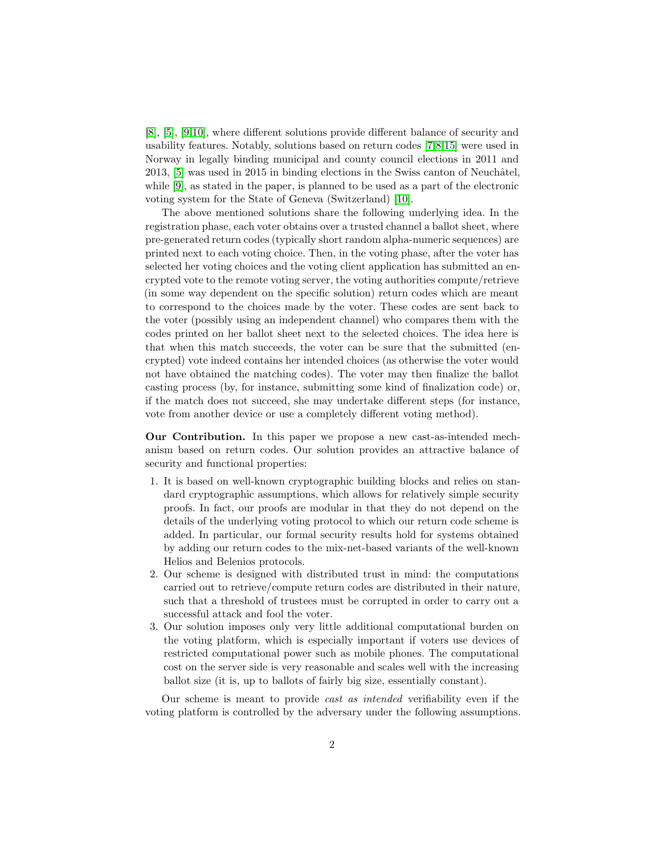[\[8\]](#page-14-2), [\[5\]](#page-14-3), [\[9](#page-14-4)[,10\]](#page-14-5), where different solutions provide different balance of security and usability features. Notably, solutions based on return codes [\[7,](#page-14-1)[8,](#page-14-2)[15\]](#page-15-1) were used in Norway in legally binding municipal and county council elections in 2011 and  $2013$ ,  $[5]$  was used in  $2015$  in binding elections in the Swiss canton of Neuchâtel, while [\[9\]](#page-14-4), as stated in the paper, is planned to be used as a part of the electronic voting system for the State of Geneva (Switzerland) [\[10\]](#page-14-5).

The above mentioned solutions share the following underlying idea. In the registration phase, each voter obtains over a trusted channel a ballot sheet, where pre-generated return codes (typically short random alpha-numeric sequences) are printed next to each voting choice. Then, in the voting phase, after the voter has selected her voting choices and the voting client application has submitted an encrypted vote to the remote voting server, the voting authorities compute/retrieve (in some way dependent on the specific solution) return codes which are meant to correspond to the choices made by the voter. These codes are sent back to the voter (possibly using an independent channel) who compares them with the codes printed on her ballot sheet next to the selected choices. The idea here is that when this match succeeds, the voter can be sure that the submitted (encrypted) vote indeed contains her intended choices (as otherwise the voter would not have obtained the matching codes). The voter may then finalize the ballot casting process (by, for instance, submitting some kind of finalization code) or, if the match does not succeed, she may undertake different steps (for instance, vote from another device or use a completely different voting method).

Our Contribution. In this paper we propose a new cast-as-intended mechanism based on return codes. Our solution provides an attractive balance of security and functional properties:

- 1. It is based on well-known cryptographic building blocks and relies on standard cryptographic assumptions, which allows for relatively simple security proofs. In fact, our proofs are modular in that they do not depend on the details of the underlying voting protocol to which our return code scheme is added. In particular, our formal security results hold for systems obtained by adding our return codes to the mix-net-based variants of the well-known Helios and Belenios protocols.
- 2. Our scheme is designed with distributed trust in mind: the computations carried out to retrieve/compute return codes are distributed in their nature, such that a threshold of trustees must be corrupted in order to carry out a successful attack and fool the voter.
- 3. Our solution imposes only very little additional computational burden on the voting platform, which is especially important if voters use devices of restricted computational power such as mobile phones. The computational cost on the server side is very reasonable and scales well with the increasing ballot size (it is, up to ballots of fairly big size, essentially constant).

Our scheme is meant to provide cast as intended verifiability even if the voting platform is controlled by the adversary under the following assumptions.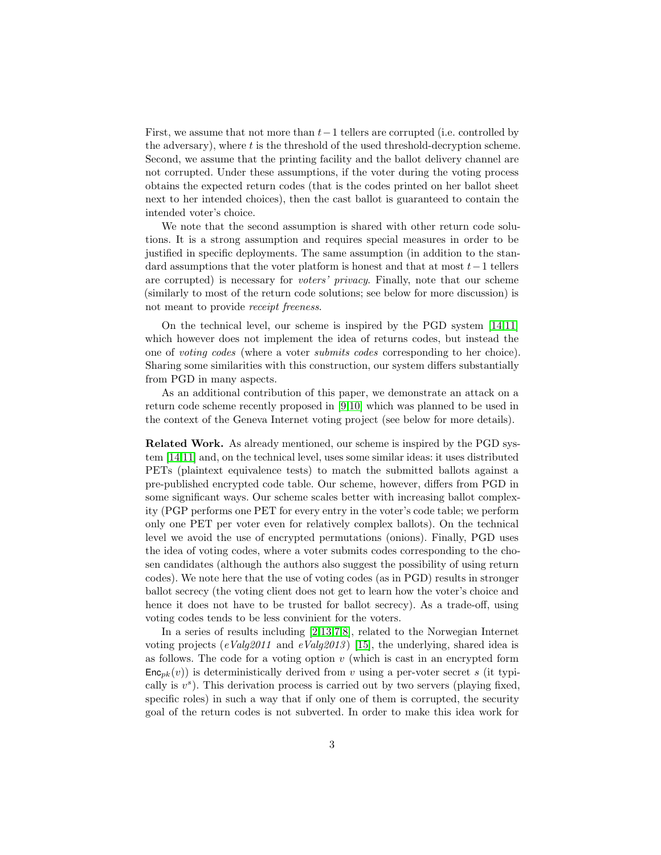First, we assume that not more than  $t-1$  tellers are corrupted (i.e. controlled by the adversary), where  $t$  is the threshold of the used threshold-decryption scheme. Second, we assume that the printing facility and the ballot delivery channel are not corrupted. Under these assumptions, if the voter during the voting process obtains the expected return codes (that is the codes printed on her ballot sheet next to her intended choices), then the cast ballot is guaranteed to contain the intended voter's choice.

We note that the second assumption is shared with other return code solutions. It is a strong assumption and requires special measures in order to be justified in specific deployments. The same assumption (in addition to the standard assumptions that the voter platform is honest and that at most  $t-1$  tellers are corrupted) is necessary for voters' privacy. Finally, note that our scheme (similarly to most of the return code solutions; see below for more discussion) is not meant to provide receipt freeness.

On the technical level, our scheme is inspired by the PGD system [\[14,](#page-15-2)[11\]](#page-15-3) which however does not implement the idea of returns codes, but instead the one of voting codes (where a voter submits codes corresponding to her choice). Sharing some similarities with this construction, our system differs substantially from PGD in many aspects.

As an additional contribution of this paper, we demonstrate an attack on a return code scheme recently proposed in [\[9,](#page-14-4)[10\]](#page-14-5) which was planned to be used in the context of the Geneva Internet voting project (see below for more details).

Related Work. As already mentioned, our scheme is inspired by the PGD system [\[14,](#page-15-2)[11\]](#page-15-3) and, on the technical level, uses some similar ideas: it uses distributed PETs (plaintext equivalence tests) to match the submitted ballots against a pre-published encrypted code table. Our scheme, however, differs from PGD in some significant ways. Our scheme scales better with increasing ballot complexity (PGP performs one PET for every entry in the voter's code table; we perform only one PET per voter even for relatively complex ballots). On the technical level we avoid the use of encrypted permutations (onions). Finally, PGD uses the idea of voting codes, where a voter submits codes corresponding to the chosen candidates (although the authors also suggest the possibility of using return codes). We note here that the use of voting codes (as in PGD) results in stronger ballot secrecy (the voting client does not get to learn how the voter's choice and hence it does not have to be trusted for ballot secrecy). As a trade-off, using voting codes tends to be less convinient for the voters.

In a series of results including [\[2](#page-14-0)[,13,](#page-15-0)[7,](#page-14-1)[8\]](#page-14-2), related to the Norwegian Internet voting projects ( $eValg2011$  and  $eValg2013$ ) [\[15\]](#page-15-1), the underlying, shared idea is as follows. The code for a voting option  $v$  (which is cast in an encrypted form  $Enc_{pk}(v)$ ) is deterministically derived from v using a per-voter secret s (it typically is  $v^s$ ). This derivation process is carried out by two servers (playing fixed, specific roles) in such a way that if only one of them is corrupted, the security goal of the return codes is not subverted. In order to make this idea work for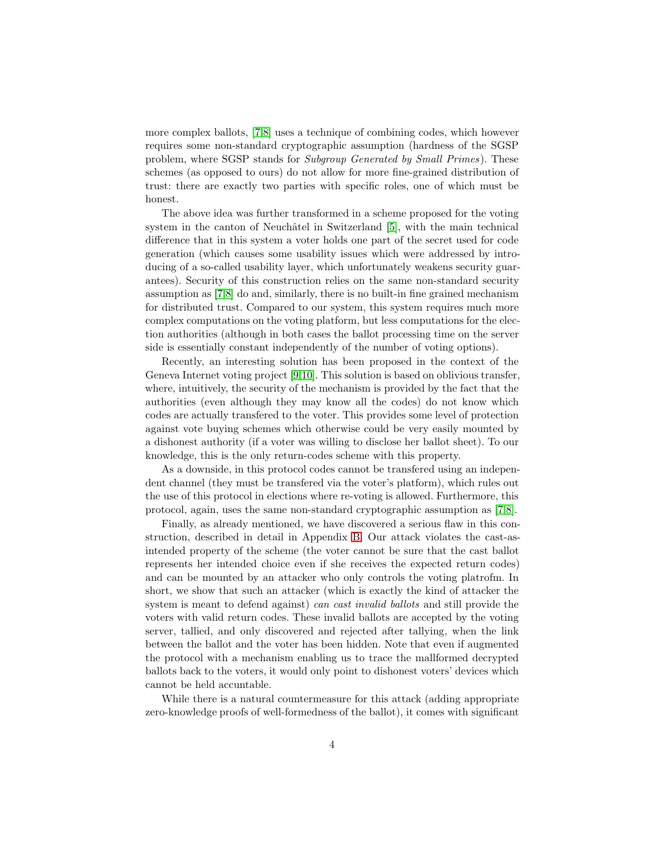more complex ballots, [\[7,](#page-14-1)[8\]](#page-14-2) uses a technique of combining codes, which however requires some non-standard cryptographic assumption (hardness of the SGSP problem, where SGSP stands for Subgroup Generated by Small Primes). These schemes (as opposed to ours) do not allow for more fine-grained distribution of trust: there are exactly two parties with specific roles, one of which must be honest.

The above idea was further transformed in a scheme proposed for the voting system in the canton of Neuchâtel in Switzerland  $[5]$ , with the main technical difference that in this system a voter holds one part of the secret used for code generation (which causes some usability issues which were addressed by introducing of a so-called usability layer, which unfortunately weakens security guarantees). Security of this construction relies on the same non-standard security assumption as [\[7](#page-14-1)[,8\]](#page-14-2) do and, similarly, there is no built-in fine grained mechanism for distributed trust. Compared to our system, this system requires much more complex computations on the voting platform, but less computations for the election authorities (although in both cases the ballot processing time on the server side is essentially constant independently of the number of voting options).

Recently, an interesting solution has been proposed in the context of the Geneva Internet voting project [\[9](#page-14-4)[,10\]](#page-14-5). This solution is based on oblivious transfer, where, intuitively, the security of the mechanism is provided by the fact that the authorities (even although they may know all the codes) do not know which codes are actually transfered to the voter. This provides some level of protection against vote buying schemes which otherwise could be very easily mounted by a dishonest authority (if a voter was willing to disclose her ballot sheet). To our knowledge, this is the only return-codes scheme with this property.

As a downside, in this protocol codes cannot be transfered using an independent channel (they must be transfered via the voter's platform), which rules out the use of this protocol in elections where re-voting is allowed. Furthermore, this protocol, again, uses the same non-standard cryptographic assumption as [\[7](#page-14-1)[,8\]](#page-14-2).

Finally, as already mentioned, we have discovered a serious flaw in this construction, described in detail in Appendix [B.](#page-16-0) Our attack violates the cast-asintended property of the scheme (the voter cannot be sure that the cast ballot represents her intended choice even if she receives the expected return codes) and can be mounted by an attacker who only controls the voting platrofm. In short, we show that such an attacker (which is exactly the kind of attacker the system is meant to defend against) can cast invalid ballots and still provide the voters with valid return codes. These invalid ballots are accepted by the voting server, tallied, and only discovered and rejected after tallying, when the link between the ballot and the voter has been hidden. Note that even if augmented the protocol with a mechanism enabling us to trace the mallformed decrypted ballots back to the voters, it would only point to dishonest voters' devices which cannot be held accuntable.

While there is a natural countermeasure for this attack (adding appropriate zero-knowledge proofs of well-formedness of the ballot), it comes with significant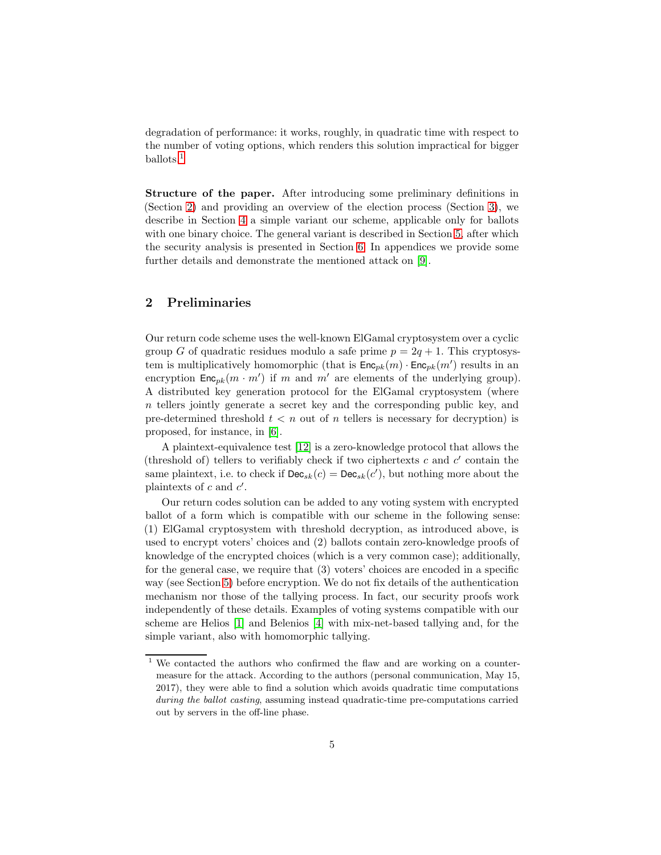degradation of performance: it works, roughly, in quadratic time with respect to the number of voting options, which renders this solution impractical for bigger ballots.[1](#page-4-0)

Structure of the paper. After introducing some preliminary definitions in (Section [2\)](#page-4-1) and providing an overview of the election process (Section [3\)](#page-5-0), we describe in Section [4](#page-6-0) a simple variant our scheme, applicable only for ballots with one binary choice. The general variant is described in Section [5,](#page-8-0) after which the security analysis is presented in Section [6.](#page-11-0) In appendices we provide some further details and demonstrate the mentioned attack on [\[9\]](#page-14-4).

# <span id="page-4-1"></span>2 Preliminaries

Our return code scheme uses the well-known ElGamal cryptosystem over a cyclic group G of quadratic residues modulo a safe prime  $p = 2q + 1$ . This cryptosystem is multiplicatively homomorphic (that is  $\mathsf{Enc}_{pk}(m) \cdot \mathsf{Enc}_{pk}(m')$  results in an encryption  $\mathsf{Enc}_{pk}(m \cdot m')$  if m and m' are elements of the underlying group). A distributed key generation protocol for the ElGamal cryptosystem (where n tellers jointly generate a secret key and the corresponding public key, and pre-determined threshold  $t < n$  out of n tellers is necessary for decryption) is proposed, for instance, in [\[6\]](#page-14-6).

A plaintext-equivalence test [\[12\]](#page-15-4) is a zero-knowledge protocol that allows the (threshold of) tellers to verifiably check if two ciphertexts  $c$  and  $c'$  contain the same plaintext, i.e. to check if  $\text{Dec}_{sk}(c) = \text{Dec}_{sk}(c')$ , but nothing more about the plaintexts of  $c$  and  $c'$ .

Our return codes solution can be added to any voting system with encrypted ballot of a form which is compatible with our scheme in the following sense: (1) ElGamal cryptosystem with threshold decryption, as introduced above, is used to encrypt voters' choices and (2) ballots contain zero-knowledge proofs of knowledge of the encrypted choices (which is a very common case); additionally, for the general case, we require that (3) voters' choices are encoded in a specific way (see Section [5\)](#page-8-0) before encryption. We do not fix details of the authentication mechanism nor those of the tallying process. In fact, our security proofs work independently of these details. Examples of voting systems compatible with our scheme are Helios [\[1\]](#page-14-7) and Belenios [\[4\]](#page-14-8) with mix-net-based tallying and, for the simple variant, also with homomorphic tallying.

<span id="page-4-0"></span><sup>&</sup>lt;sup>1</sup> We contacted the authors who confirmed the flaw and are working on a countermeasure for the attack. According to the authors (personal communication, May 15, 2017), they were able to find a solution which avoids quadratic time computations during the ballot casting, assuming instead quadratic-time pre-computations carried out by servers in the off-line phase.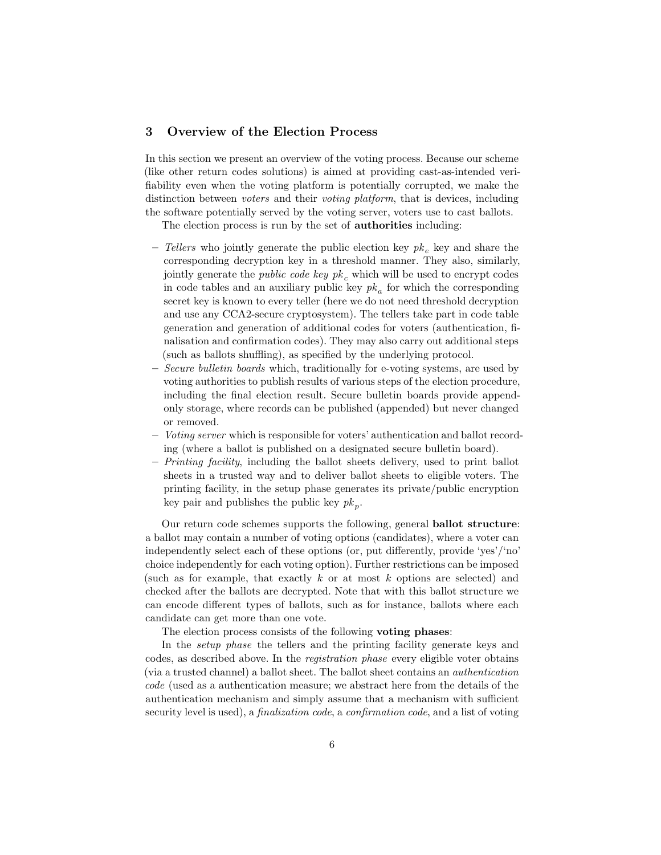# <span id="page-5-0"></span>3 Overview of the Election Process

In this section we present an overview of the voting process. Because our scheme (like other return codes solutions) is aimed at providing cast-as-intended verifiability even when the voting platform is potentially corrupted, we make the distinction between voters and their voting platform, that is devices, including the software potentially served by the voting server, voters use to cast ballots.

The election process is run by the set of authorities including:

- Tellers who jointly generate the public election key  $pk_e$  key and share the corresponding decryption key in a threshold manner. They also, similarly, jointly generate the *public code key*  $pk_c$  which will be used to encrypt codes in code tables and an auxiliary public key  $pk_a$  for which the corresponding secret key is known to every teller (here we do not need threshold decryption and use any CCA2-secure cryptosystem). The tellers take part in code table generation and generation of additional codes for voters (authentication, finalisation and confirmation codes). They may also carry out additional steps (such as ballots shuffling), as specified by the underlying protocol.
- Secure bulletin boards which, traditionally for e-voting systems, are used by voting authorities to publish results of various steps of the election procedure, including the final election result. Secure bulletin boards provide appendonly storage, where records can be published (appended) but never changed or removed.
- Voting server which is responsible for voters' authentication and ballot recording (where a ballot is published on a designated secure bulletin board).
- Printing facility, including the ballot sheets delivery, used to print ballot sheets in a trusted way and to deliver ballot sheets to eligible voters. The printing facility, in the setup phase generates its private/public encryption key pair and publishes the public key  $pk_p$ .

Our return code schemes supports the following, general ballot structure: a ballot may contain a number of voting options (candidates), where a voter can independently select each of these options (or, put differently, provide 'yes'/'no' choice independently for each voting option). Further restrictions can be imposed (such as for example, that exactly k or at most k options are selected) and checked after the ballots are decrypted. Note that with this ballot structure we can encode different types of ballots, such as for instance, ballots where each candidate can get more than one vote.

The election process consists of the following **voting phases**:

In the setup phase the tellers and the printing facility generate keys and codes, as described above. In the registration phase every eligible voter obtains (via a trusted channel) a ballot sheet. The ballot sheet contains an authentication code (used as a authentication measure; we abstract here from the details of the authentication mechanism and simply assume that a mechanism with sufficient security level is used), a *finalization code*, a *confirmation code*, and a list of voting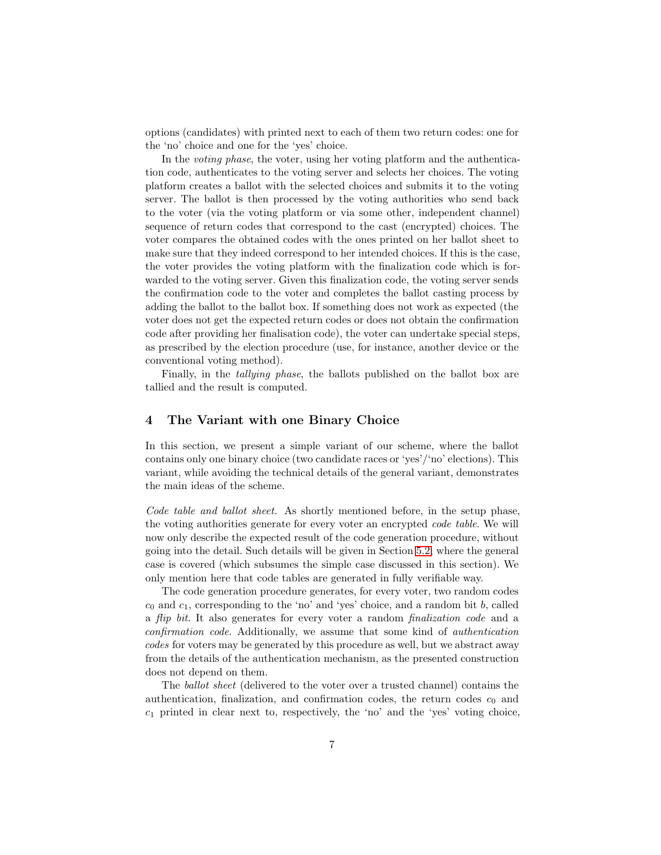options (candidates) with printed next to each of them two return codes: one for the 'no' choice and one for the 'yes' choice.

In the voting phase, the voter, using her voting platform and the authentication code, authenticates to the voting server and selects her choices. The voting platform creates a ballot with the selected choices and submits it to the voting server. The ballot is then processed by the voting authorities who send back to the voter (via the voting platform or via some other, independent channel) sequence of return codes that correspond to the cast (encrypted) choices. The voter compares the obtained codes with the ones printed on her ballot sheet to make sure that they indeed correspond to her intended choices. If this is the case, the voter provides the voting platform with the finalization code which is forwarded to the voting server. Given this finalization code, the voting server sends the confirmation code to the voter and completes the ballot casting process by adding the ballot to the ballot box. If something does not work as expected (the voter does not get the expected return codes or does not obtain the confirmation code after providing her finalisation code), the voter can undertake special steps, as prescribed by the election procedure (use, for instance, another device or the conventional voting method).

Finally, in the *tallying phase*, the ballots published on the ballot box are tallied and the result is computed.

## <span id="page-6-0"></span>4 The Variant with one Binary Choice

In this section, we present a simple variant of our scheme, where the ballot contains only one binary choice (two candidate races or 'yes'/'no' elections). This variant, while avoiding the technical details of the general variant, demonstrates the main ideas of the scheme.

Code table and ballot sheet. As shortly mentioned before, in the setup phase, the voting authorities generate for every voter an encrypted code table. We will now only describe the expected result of the code generation procedure, without going into the detail. Such details will be given in Section [5.2,](#page-10-0) where the general case is covered (which subsumes the simple case discussed in this section). We only mention here that code tables are generated in fully verifiable way.

The code generation procedure generates, for every voter, two random codes  $c_0$  and  $c_1$ , corresponding to the 'no' and 'yes' choice, and a random bit  $b$ , called a flip bit. It also generates for every voter a random finalization code and a confirmation code. Additionally, we assume that some kind of authentication codes for voters may be generated by this procedure as well, but we abstract away from the details of the authentication mechanism, as the presented construction does not depend on them.

The ballot sheet (delivered to the voter over a trusted channel) contains the authentication, finalization, and confirmation codes, the return codes  $c_0$  and  $c_1$  printed in clear next to, respectively, the 'no' and the 'yes' voting choice,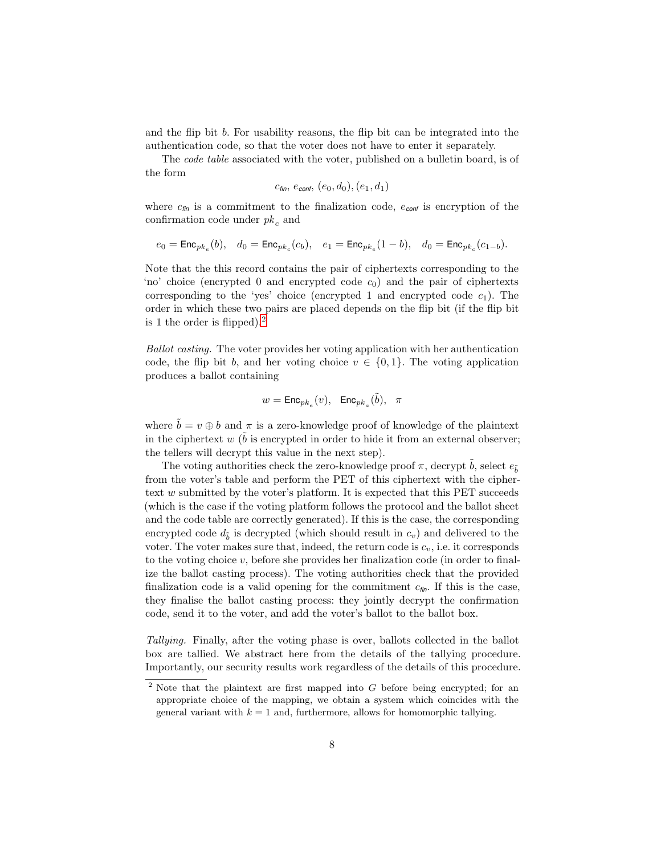and the flip bit b. For usability reasons, the flip bit can be integrated into the authentication code, so that the voter does not have to enter it separately.

The code table associated with the voter, published on a bulletin board, is of the form

$$
c_{\text{fin}}, e_{\text{conf}}, (e_0, d_0), (e_1, d_1)
$$

where  $c_{fin}$  is a commitment to the finalization code,  $e_{cont}$  is encryption of the confirmation code under  $pk_c$  and

$$
e_0=\textsf{Enc}_{pk_e}(b),\quad d_0=\textsf{Enc}_{pk_e}(c_b),\quad e_1=\textsf{Enc}_{pk_e}(1-b),\quad d_0=\textsf{Enc}_{pk_e}(c_{1-b}).
$$

Note that the this record contains the pair of ciphertexts corresponding to the 'no' choice (encrypted 0 and encrypted code  $c_0$ ) and the pair of ciphertexts corresponding to the 'yes' choice (encrypted 1 and encrypted code  $c_1$ ). The order in which these two pairs are placed depends on the flip bit (if the flip bit is 1 the order is flipped).[2](#page-7-0)

Ballot casting. The voter provides her voting application with her authentication code, the flip bit b, and her voting choice  $v \in \{0,1\}$ . The voting application produces a ballot containing

$$
w = \mathrm{Enc}_{pk_e}(v), \quad \mathrm{Enc}_{pk_a}(\tilde{b}), \quad \pi
$$

where  $\tilde{b} = v \oplus b$  and  $\pi$  is a zero-knowledge proof of knowledge of the plaintext in the ciphertext  $w(\tilde{b}$  is encrypted in order to hide it from an external observer; the tellers will decrypt this value in the next step).

The voting authorities check the zero-knowledge proof  $\pi$ , decrypt  $\tilde{b}$ , select  $e_{\tilde{b}}$ from the voter's table and perform the PET of this ciphertext with the ciphertext w submitted by the voter's platform. It is expected that this PET succeeds (which is the case if the voting platform follows the protocol and the ballot sheet and the code table are correctly generated). If this is the case, the corresponding encrypted code  $d_{\tilde{b}}$  is decrypted (which should result in  $c_v$ ) and delivered to the voter. The voter makes sure that, indeed, the return code is  $c_v$ , i.e. it corresponds to the voting choice v, before she provides her finalization code (in order to finalize the ballot casting process). The voting authorities check that the provided finalization code is a valid opening for the commitment  $c_{\text{fin}}$ . If this is the case, they finalise the ballot casting process: they jointly decrypt the confirmation code, send it to the voter, and add the voter's ballot to the ballot box.

Tallying. Finally, after the voting phase is over, ballots collected in the ballot box are tallied. We abstract here from the details of the tallying procedure. Importantly, our security results work regardless of the details of this procedure.

<span id="page-7-0"></span><sup>&</sup>lt;sup>2</sup> Note that the plaintext are first mapped into G before being encrypted; for an appropriate choice of the mapping, we obtain a system which coincides with the general variant with  $k = 1$  and, furthermore, allows for homomorphic tallying.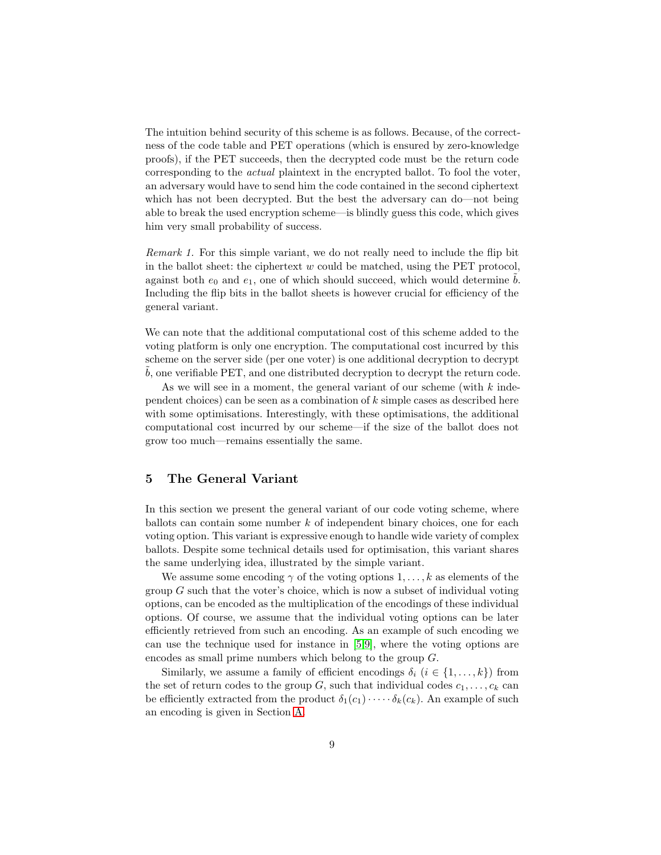The intuition behind security of this scheme is as follows. Because, of the correctness of the code table and PET operations (which is ensured by zero-knowledge proofs), if the PET succeeds, then the decrypted code must be the return code corresponding to the actual plaintext in the encrypted ballot. To fool the voter, an adversary would have to send him the code contained in the second ciphertext which has not been decrypted. But the best the adversary can do—not being able to break the used encryption scheme—is blindly guess this code, which gives him very small probability of success.

Remark 1. For this simple variant, we do not really need to include the flip bit in the ballot sheet: the ciphertext  $w$  could be matched, using the PET protocol, against both  $e_0$  and  $e_1$ , one of which should succeed, which would determine b. Including the flip bits in the ballot sheets is however crucial for efficiency of the general variant.

We can note that the additional computational cost of this scheme added to the voting platform is only one encryption. The computational cost incurred by this scheme on the server side (per one voter) is one additional decryption to decrypt ˜b, one verifiable PET, and one distributed decryption to decrypt the return code.

As we will see in a moment, the general variant of our scheme (with  $k$  independent choices) can be seen as a combination of  $k$  simple cases as described here with some optimisations. Interestingly, with these optimisations, the additional computational cost incurred by our scheme—if the size of the ballot does not grow too much—remains essentially the same.

### <span id="page-8-0"></span>5 The General Variant

In this section we present the general variant of our code voting scheme, where ballots can contain some number  $k$  of independent binary choices, one for each voting option. This variant is expressive enough to handle wide variety of complex ballots. Despite some technical details used for optimisation, this variant shares the same underlying idea, illustrated by the simple variant.

We assume some encoding  $\gamma$  of the voting options  $1, \ldots, k$  as elements of the group  $G$  such that the voter's choice, which is now a subset of individual voting options, can be encoded as the multiplication of the encodings of these individual options. Of course, we assume that the individual voting options can be later efficiently retrieved from such an encoding. As an example of such encoding we can use the technique used for instance in [\[5](#page-14-3)[,9\]](#page-14-4), where the voting options are encodes as small prime numbers which belong to the group G.

Similarly, we assume a family of efficient encodings  $\delta_i$   $(i \in \{1, ..., k\})$  from the set of return codes to the group G, such that individual codes  $c_1, \ldots, c_k$  can be efficiently extracted from the product  $\delta_1(c_1)\cdots \delta_k(c_k)$ . An example of such an encoding is given in Section [A.](#page-15-5)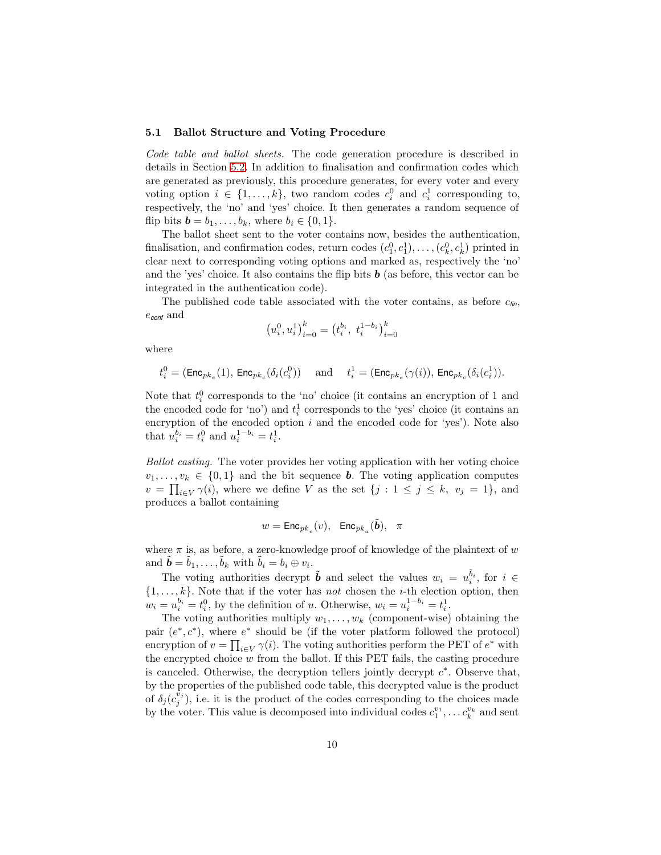#### 5.1 Ballot Structure and Voting Procedure

Code table and ballot sheets. The code generation procedure is described in details in Section [5.2.](#page-10-0) In addition to finalisation and confirmation codes which are generated as previously, this procedure generates, for every voter and every voting option  $i \in \{1, ..., k\}$ , two random codes  $c_i^0$  and  $c_i^1$  corresponding to, respectively, the 'no' and 'yes' choice. It then generates a random sequence of flip bits  $\mathbf{b} = b_1, \ldots, b_k$ , where  $b_i \in \{0, 1\}$ .

The ballot sheet sent to the voter contains now, besides the authentication, finalisation, and confirmation codes, return codes  $(c_1^0, c_1^1), \ldots, (c_k^0, c_k^1)$  printed in clear next to corresponding voting options and marked as, respectively the 'no' and the 'yes' choice. It also contains the flip bits  $\boldsymbol{b}$  (as before, this vector can be integrated in the authentication code).

The published code table associated with the voter contains, as before c*fin*, e*conf* and

$$
(u_i^0, u_i^1)_{i=0}^k = (t_i^{b_i}, t_i^{1-b_i})_{i=0}^k
$$

where

$$
t_i^0 = (\mathrm{Enc}_{pk_e}(1),\ \mathrm{Enc}_{pk_c}(\delta_i(c_i^0)) \quad \text{ and } \quad t_i^1 = (\mathrm{Enc}_{pk_e}(\gamma(i)),\ \mathrm{Enc}_{pk_c}(\delta_i(c_i^1)).
$$

Note that  $t_i^0$  corresponds to the 'no' choice (it contains an encryption of 1 and the encoded code for 'no') and  $t_i^1$  corresponds to the 'yes' choice (it contains an encryption of the encoded option  $i$  and the encoded code for 'yes'). Note also that  $u_i^{b_i} = t_i^0$  and  $u_i^{1-b_i} = t_i^1$ .

Ballot casting. The voter provides her voting application with her voting choice  $v_1, \ldots, v_k \in \{0,1\}$  and the bit sequence **b**. The voting application computes  $v = \prod_{i \in V} \gamma(i)$ , where we define V as the set  $\{j : 1 \le j \le k, v_j = 1\}$ , and produces a ballot containing

$$
w = \mathrm{Enc}_{pk_e}(v), \quad \mathrm{Enc}_{pk_a}(\tilde{\pmb{b}}), \quad \pi
$$

where  $\pi$  is, as before, a zero-knowledge proof of knowledge of the plaintext of w and  $\tilde{\boldsymbol{b}} = \tilde{b}_1, \dots, \tilde{b}_k$  with  $\tilde{b}_i = b_i \oplus v_i$ .

The voting authorities decrypt  $\tilde{b}$  and select the values  $w_i = u_i^{\tilde{b}_i}$ , for  $i \in$  $\{1, \ldots, k\}$ . Note that if the voter has *not* chosen the *i*-th election option, then  $w_i = u_i^{b_i} = t_i^0$ , by the definition of u. Otherwise,  $w_i = u_i^{1-b_i} = t_i^1$ .

The voting authorities multiply  $w_1, \ldots, w_k$  (component-wise) obtaining the pair  $(e^*, c^*)$ , where  $e^*$  should be (if the voter platform followed the protocol) encryption of  $v = \prod_{i \in V} \gamma(i)$ . The voting authorities perform the PET of  $e^*$  with the encrypted choice  $w$  from the ballot. If this PET fails, the casting procedure is canceled. Otherwise, the decryption tellers jointly decrypt  $c^*$ . Observe that, by the properties of the published code table, this decrypted value is the product of  $\delta_j(c_j^{\bar{v}_j})$ , i.e. it is the product of the codes corresponding to the choices made by the voter. This value is decomposed into individual codes  $c_1^{v_1}, \ldots c_k^{v_k}$  and sent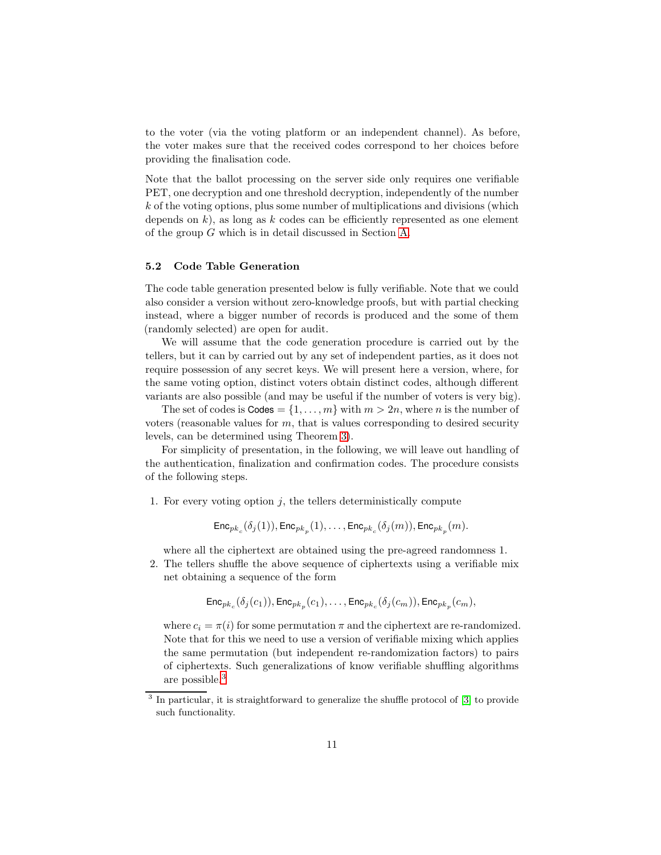to the voter (via the voting platform or an independent channel). As before, the voter makes sure that the received codes correspond to her choices before providing the finalisation code.

Note that the ballot processing on the server side only requires one verifiable PET, one decryption and one threshold decryption, independently of the number  $k$  of the voting options, plus some number of multiplications and divisions (which depends on  $k$ ), as long as  $k$  codes can be efficiently represented as one element of the group G which is in detail discussed in Section [A.](#page-15-5)

#### <span id="page-10-0"></span>5.2 Code Table Generation

The code table generation presented below is fully verifiable. Note that we could also consider a version without zero-knowledge proofs, but with partial checking instead, where a bigger number of records is produced and the some of them (randomly selected) are open for audit.

We will assume that the code generation procedure is carried out by the tellers, but it can by carried out by any set of independent parties, as it does not require possession of any secret keys. We will present here a version, where, for the same voting option, distinct voters obtain distinct codes, although different variants are also possible (and may be useful if the number of voters is very big).

The set of codes is Codes =  $\{1, \ldots, m\}$  with  $m > 2n$ , where n is the number of voters (reasonable values for  $m$ , that is values corresponding to desired security levels, can be determined using Theorem [3\)](#page-13-0).

For simplicity of presentation, in the following, we will leave out handling of the authentication, finalization and confirmation codes. The procedure consists of the following steps.

1. For every voting option  $j$ , the tellers deterministically compute

 $\mathsf{Enc}_{pk_c}(\delta_j(1)), \mathsf{Enc}_{pk_p}(1), \ldots, \mathsf{Enc}_{pk_c}(\delta_j(m)), \mathsf{Enc}_{pk_p}(m).$ 

where all the ciphertext are obtained using the pre-agreed randomness 1.

2. The tellers shuffle the above sequence of ciphertexts using a verifiable mix net obtaining a sequence of the form

$$
\text{Enc}_{pk_c}(\delta_j(c_1)), \text{Enc}_{pk_p}(c_1), \ldots, \text{Enc}_{pk_c}(\delta_j(c_m)), \text{Enc}_{pk_p}(c_m),
$$

where  $c_i = \pi(i)$  for some permutation  $\pi$  and the ciphertext are re-randomized. Note that for this we need to use a version of verifiable mixing which applies the same permutation (but independent re-randomization factors) to pairs of ciphertexts. Such generalizations of know verifiable shuffling algorithms are possible.[3](#page-10-1)

<span id="page-10-1"></span><sup>&</sup>lt;sup>3</sup> In particular, it is straightforward to generalize the shuffle protocol of [\[3\]](#page-14-9) to provide such functionality.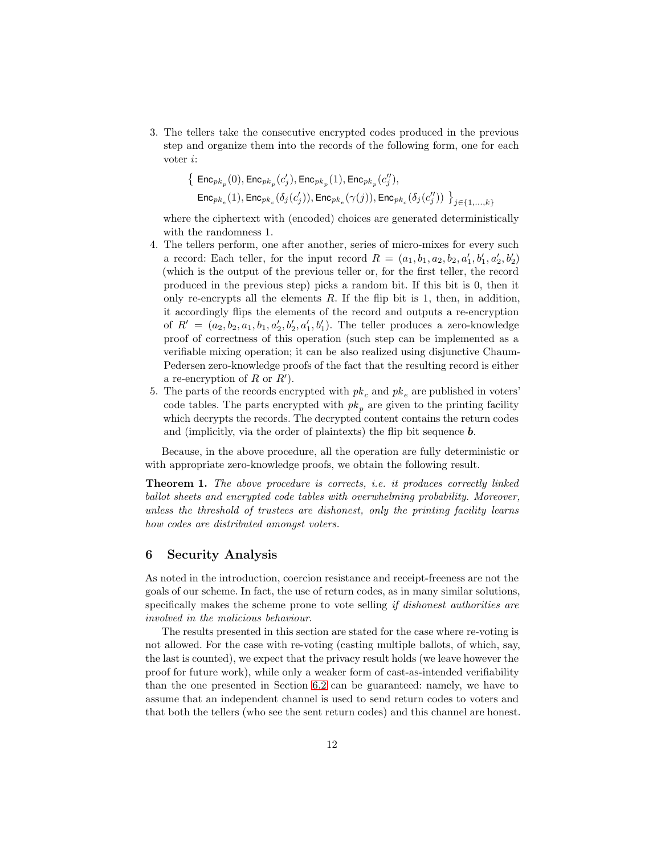3. The tellers take the consecutive encrypted codes produced in the previous step and organize them into the records of the following form, one for each voter i:

$$
\left\{\begin{array}{l} \mathsf{Enc}_{pk_p}(0), \mathsf{Enc}_{pk_p}(c'_j), \mathsf{Enc}_{pk_p}(1), \mathsf{Enc}_{pk_p}(c''_j), \end{array}\right.\\ \left.\begin{array}{l} \mathsf{Enc}_{pk_e}(1), \mathsf{Enc}_{pk_e}(\delta_j(c'_j)), \mathsf{Enc}_{pk_e}(\gamma(j)), \mathsf{Enc}_{pk_e}(\delta_j(c''_j)) \end{array}\right\}_{j \in \{1, \ldots, k\}}
$$

where the ciphertext with (encoded) choices are generated deterministically with the randomness 1.

- 4. The tellers perform, one after another, series of micro-mixes for every such a record: Each teller, for the input record  $R = (a_1, b_1, a_2, b_2, a'_1, b'_1, a'_2, b'_2)$ (which is the output of the previous teller or, for the first teller, the record produced in the previous step) picks a random bit. If this bit is 0, then it only re-encrypts all the elements  $R$ . If the flip bit is 1, then, in addition, it accordingly flips the elements of the record and outputs a re-encryption of  $R' = (a_2, b_2, a_1, b_1, a'_2, b'_2, a'_1, b'_1)$ . The teller produces a zero-knowledge proof of correctness of this operation (such step can be implemented as a verifiable mixing operation; it can be also realized using disjunctive Chaum-Pedersen zero-knowledge proofs of the fact that the resulting record is either a re-encryption of  $R$  or  $R'$ ).
- 5. The parts of the records encrypted with  $pk_c$  and  $pk_e$  are published in voters' code tables. The parts encrypted with  $pk_p$  are given to the printing facility which decrypts the records. The decrypted content contains the return codes and (implicitly, via the order of plaintexts) the flip bit sequence b.

<span id="page-11-1"></span>Because, in the above procedure, all the operation are fully deterministic or with appropriate zero-knowledge proofs, we obtain the following result.

Theorem 1. The above procedure is corrects, i.e. it produces correctly linked ballot sheets and encrypted code tables with overwhelming probability. Moreover, unless the threshold of trustees are dishonest, only the printing facility learns how codes are distributed amongst voters.

# <span id="page-11-0"></span>6 Security Analysis

As noted in the introduction, coercion resistance and receipt-freeness are not the goals of our scheme. In fact, the use of return codes, as in many similar solutions, specifically makes the scheme prone to vote selling if dishonest authorities are involved in the malicious behaviour.

The results presented in this section are stated for the case where re-voting is not allowed. For the case with re-voting (casting multiple ballots, of which, say, the last is counted), we expect that the privacy result holds (we leave however the proof for future work), while only a weaker form of cast-as-intended verifiability than the one presented in Section [6.2](#page-13-1) can be guaranteed: namely, we have to assume that an independent channel is used to send return codes to voters and that both the tellers (who see the sent return codes) and this channel are honest.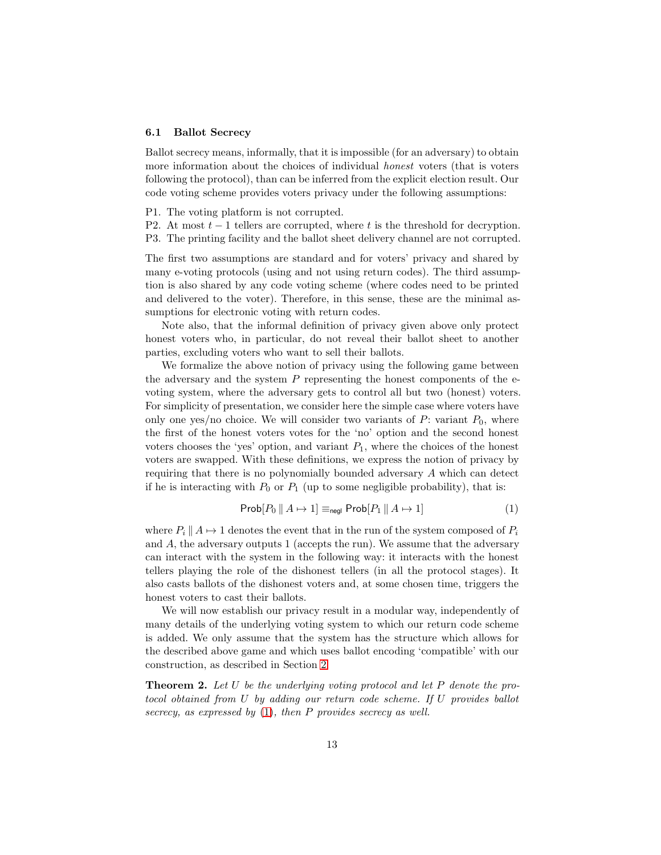#### 6.1 Ballot Secrecy

Ballot secrecy means, informally, that it is impossible (for an adversary) to obtain more information about the choices of individual honest voters (that is voters following the protocol), than can be inferred from the explicit election result. Our code voting scheme provides voters privacy under the following assumptions:

- P1. The voting platform is not corrupted.
- P2. At most  $t 1$  tellers are corrupted, where t is the threshold for decryption.
- P3. The printing facility and the ballot sheet delivery channel are not corrupted.

The first two assumptions are standard and for voters' privacy and shared by many e-voting protocols (using and not using return codes). The third assumption is also shared by any code voting scheme (where codes need to be printed and delivered to the voter). Therefore, in this sense, these are the minimal assumptions for electronic voting with return codes.

Note also, that the informal definition of privacy given above only protect honest voters who, in particular, do not reveal their ballot sheet to another parties, excluding voters who want to sell their ballots.

We formalize the above notion of privacy using the following game between the adversary and the system  $P$  representing the honest components of the evoting system, where the adversary gets to control all but two (honest) voters. For simplicity of presentation, we consider here the simple case where voters have only one yes/no choice. We will consider two variants of  $P$ : variant  $P_0$ , where the first of the honest voters votes for the 'no' option and the second honest voters chooses the 'yes' option, and variant  $P_1$ , where the choices of the honest voters are swapped. With these definitions, we express the notion of privacy by requiring that there is no polynomially bounded adversary A which can detect if he is interacting with  $P_0$  or  $P_1$  (up to some negligible probability), that is:

<span id="page-12-0"></span>
$$
Prob[P_0 \parallel A \mapsto 1] \equiv_{\text{negl}} Prob[P_1 \parallel A \mapsto 1]
$$
 (1)

where  $P_i \parallel A \mapsto 1$  denotes the event that in the run of the system composed of  $P_i$ and  $A$ , the adversary outputs 1 (accepts the run). We assume that the adversary can interact with the system in the following way: it interacts with the honest tellers playing the role of the dishonest tellers (in all the protocol stages). It also casts ballots of the dishonest voters and, at some chosen time, triggers the honest voters to cast their ballots.

We will now establish our privacy result in a modular way, independently of many details of the underlying voting system to which our return code scheme is added. We only assume that the system has the structure which allows for the described above game and which uses ballot encoding 'compatible' with our construction, as described in Section [2.](#page-4-1)

<span id="page-12-1"></span>**Theorem 2.** Let U be the underlying voting protocol and let P denote the protocol obtained from U by adding our return code scheme. If U provides ballot secrecy, as expressed by  $(1)$ , then P provides secrecy as well.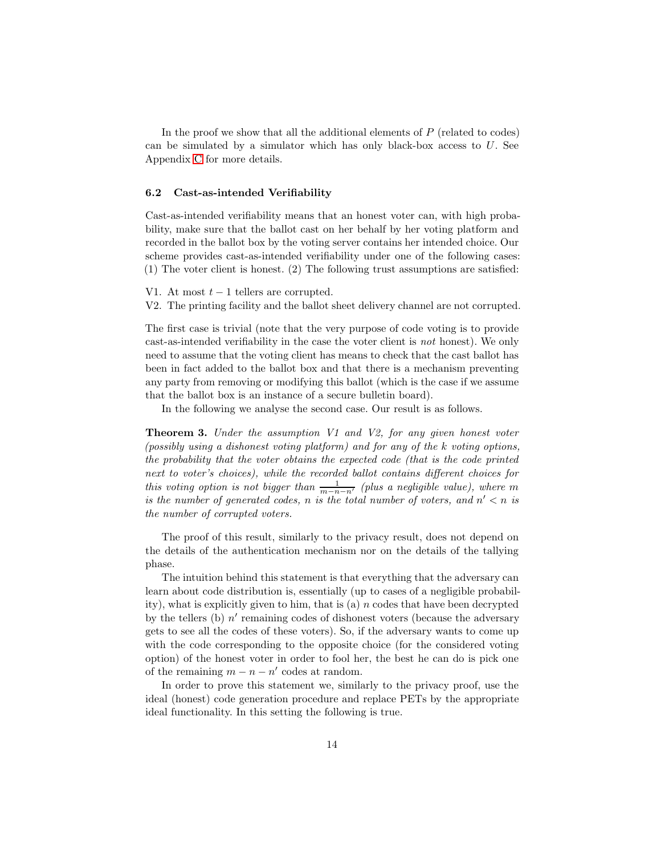In the proof we show that all the additional elements of P (related to codes) can be simulated by a simulator which has only black-box access to U. See Appendix [C](#page-17-0) for more details.

#### <span id="page-13-1"></span>6.2 Cast-as-intended Verifiability

Cast-as-intended verifiability means that an honest voter can, with high probability, make sure that the ballot cast on her behalf by her voting platform and recorded in the ballot box by the voting server contains her intended choice. Our scheme provides cast-as-intended verifiability under one of the following cases: (1) The voter client is honest. (2) The following trust assumptions are satisfied:

V1. At most  $t-1$  tellers are corrupted.

V2. The printing facility and the ballot sheet delivery channel are not corrupted.

The first case is trivial (note that the very purpose of code voting is to provide cast-as-intended verifiability in the case the voter client is not honest). We only need to assume that the voting client has means to check that the cast ballot has been in fact added to the ballot box and that there is a mechanism preventing any party from removing or modifying this ballot (which is the case if we assume that the ballot box is an instance of a secure bulletin board).

<span id="page-13-0"></span>In the following we analyse the second case. Our result is as follows.

**Theorem 3.** Under the assumption V1 and V2, for any given honest voter (possibly using a dishonest voting platform) and for any of the k voting options, the probability that the voter obtains the expected code (that is the code printed next to voter's choices), while the recorded ballot contains different choices for this voting option is not bigger than  $\frac{1}{m-n-n'}$  (plus a negligible value), where m is the number of generated codes, n is the total number of voters, and  $n' < n$  is the number of corrupted voters.

The proof of this result, similarly to the privacy result, does not depend on the details of the authentication mechanism nor on the details of the tallying phase.

The intuition behind this statement is that everything that the adversary can learn about code distribution is, essentially (up to cases of a negligible probability), what is explicitly given to him, that is  $(a)$  n codes that have been decrypted by the tellers (b)  $n'$  remaining codes of dishonest voters (because the adversary gets to see all the codes of these voters). So, if the adversary wants to come up with the code corresponding to the opposite choice (for the considered voting option) of the honest voter in order to fool her, the best he can do is pick one of the remaining  $m - n - n'$  codes at random.

In order to prove this statement we, similarly to the privacy proof, use the ideal (honest) code generation procedure and replace PETs by the appropriate ideal functionality. In this setting the following is true.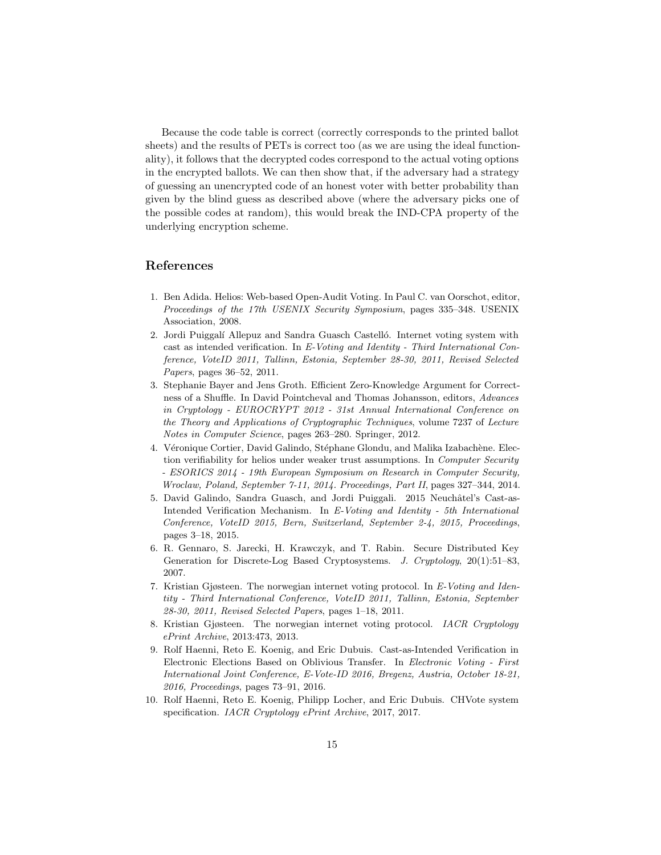Because the code table is correct (correctly corresponds to the printed ballot sheets) and the results of PETs is correct too (as we are using the ideal functionality), it follows that the decrypted codes correspond to the actual voting options in the encrypted ballots. We can then show that, if the adversary had a strategy of guessing an unencrypted code of an honest voter with better probability than given by the blind guess as described above (where the adversary picks one of the possible codes at random), this would break the IND-CPA property of the underlying encryption scheme.

# References

- <span id="page-14-7"></span>1. Ben Adida. Helios: Web-based Open-Audit Voting. In Paul C. van Oorschot, editor, Proceedings of the 17th USENIX Security Symposium, pages 335–348. USENIX Association, 2008.
- <span id="page-14-0"></span>2. Jordi Puiggalí Allepuz and Sandra Guasch Castelló. Internet voting system with cast as intended verification. In E-Voting and Identity - Third International Conference, VoteID 2011, Tallinn, Estonia, September 28-30, 2011, Revised Selected Papers, pages 36–52, 2011.
- <span id="page-14-9"></span>3. Stephanie Bayer and Jens Groth. Efficient Zero-Knowledge Argument for Correctness of a Shuffle. In David Pointcheval and Thomas Johansson, editors, Advances in Cryptology - EUROCRYPT 2012 - 31st Annual International Conference on the Theory and Applications of Cryptographic Techniques, volume 7237 of Lecture Notes in Computer Science, pages 263–280. Springer, 2012.
- <span id="page-14-8"></span>4. Véronique Cortier, David Galindo, Stéphane Glondu, and Malika Izabachène. Election verifiability for helios under weaker trust assumptions. In Computer Security - ESORICS 2014 - 19th European Symposium on Research in Computer Security, Wroclaw, Poland, September 7-11, 2014. Proceedings, Part II, pages 327–344, 2014.
- <span id="page-14-3"></span>5. David Galindo, Sandra Guasch, and Jordi Puiggali. 2015 Neuchâtel's Cast-as-Intended Verification Mechanism. In E-Voting and Identity - 5th International Conference, VoteID 2015, Bern, Switzerland, September 2-4, 2015, Proceedings, pages 3–18, 2015.
- <span id="page-14-6"></span>6. R. Gennaro, S. Jarecki, H. Krawczyk, and T. Rabin. Secure Distributed Key Generation for Discrete-Log Based Cryptosystems. J. Cryptology, 20(1):51–83, 2007.
- <span id="page-14-1"></span>7. Kristian Gjøsteen. The norwegian internet voting protocol. In E-Voting and Identity - Third International Conference, VoteID 2011, Tallinn, Estonia, September 28-30, 2011, Revised Selected Papers, pages 1–18, 2011.
- <span id="page-14-2"></span>8. Kristian Gjøsteen. The norwegian internet voting protocol. IACR Cryptology ePrint Archive, 2013:473, 2013.
- <span id="page-14-4"></span>9. Rolf Haenni, Reto E. Koenig, and Eric Dubuis. Cast-as-Intended Verification in Electronic Elections Based on Oblivious Transfer. In Electronic Voting - First International Joint Conference, E-Vote-ID 2016, Bregenz, Austria, October 18-21, 2016, Proceedings, pages 73–91, 2016.
- <span id="page-14-5"></span>10. Rolf Haenni, Reto E. Koenig, Philipp Locher, and Eric Dubuis. CHVote system specification. IACR Cryptology ePrint Archive, 2017, 2017.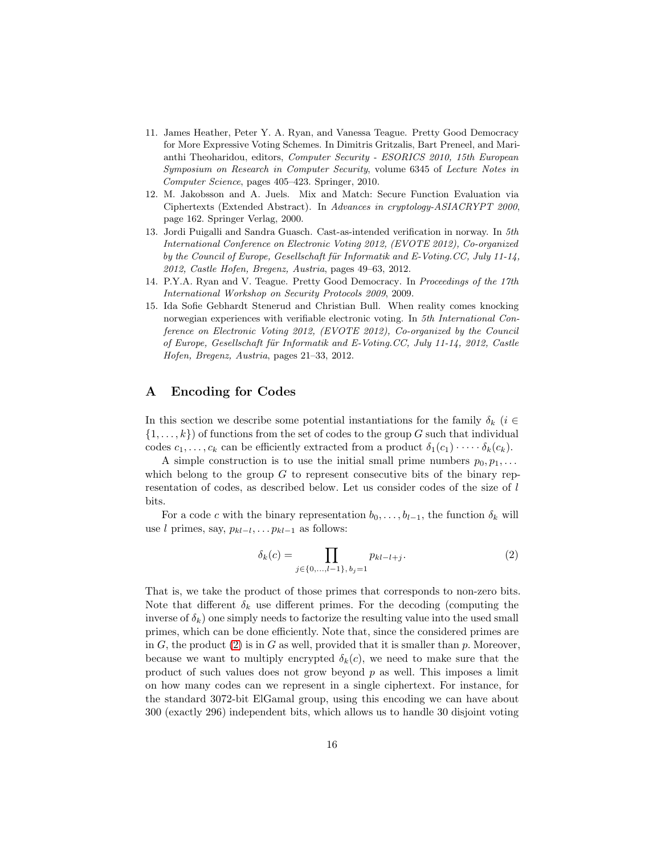- <span id="page-15-3"></span>11. James Heather, Peter Y. A. Ryan, and Vanessa Teague. Pretty Good Democracy for More Expressive Voting Schemes. In Dimitris Gritzalis, Bart Preneel, and Marianthi Theoharidou, editors, Computer Security - ESORICS 2010, 15th European Symposium on Research in Computer Security, volume 6345 of Lecture Notes in Computer Science, pages 405–423. Springer, 2010.
- <span id="page-15-4"></span>12. M. Jakobsson and A. Juels. Mix and Match: Secure Function Evaluation via Ciphertexts (Extended Abstract). In Advances in cryptology-ASIACRYPT 2000, page 162. Springer Verlag, 2000.
- <span id="page-15-0"></span>13. Jordi Puigalli and Sandra Guasch. Cast-as-intended verification in norway. In 5th International Conference on Electronic Voting 2012, (EVOTE 2012), Co-organized by the Council of Europe, Gesellschaft für Informatik and E-Voting.CC, July 11-14, 2012, Castle Hofen, Bregenz, Austria, pages 49–63, 2012.
- <span id="page-15-2"></span><span id="page-15-1"></span>14. P.Y.A. Ryan and V. Teague. Pretty Good Democracy. In Proceedings of the 17th International Workshop on Security Protocols 2009, 2009.
- 15. Ida Sofie Gebhardt Stenerud and Christian Bull. When reality comes knocking norwegian experiences with verifiable electronic voting. In 5th International Conference on Electronic Voting 2012, (EVOTE 2012), Co-organized by the Council of Europe, Gesellschaft für Informatik and E-Voting.CC, July 11-14, 2012, Castle Hofen, Bregenz, Austria, pages 21–33, 2012.

# <span id="page-15-5"></span>A Encoding for Codes

In this section we describe some potential instantiations for the family  $\delta_k$  (i ∈  $\{1, \ldots, k\}$  of functions from the set of codes to the group G such that individual codes  $c_1, \ldots, c_k$  can be efficiently extracted from a product  $\delta_1(c_1) \cdots \delta_k(c_k)$ .

A simple construction is to use the initial small prime numbers  $p_0, p_1, \ldots$ which belong to the group  $G$  to represent consecutive bits of the binary representation of codes, as described below. Let us consider codes of the size of l bits.

For a code c with the binary representation  $b_0, \ldots, b_{l-1}$ , the function  $\delta_k$  will use l primes, say,  $p_{kl-l}, \ldots p_{kl-1}$  as follows:

<span id="page-15-6"></span>
$$
\delta_k(c) = \prod_{j \in \{0, \dots, l-1\}, \, b_j = 1} p_{kl-l+j}.\tag{2}
$$

That is, we take the product of those primes that corresponds to non-zero bits. Note that different  $\delta_k$  use different primes. For the decoding (computing the inverse of  $\delta_k$ ) one simply needs to factorize the resulting value into the used small primes, which can be done efficiently. Note that, since the considered primes are in  $G$ , the product  $(2)$  is in  $G$  as well, provided that it is smaller than  $p$ . Moreover, because we want to multiply encrypted  $\delta_k(c)$ , we need to make sure that the product of such values does not grow beyond  $p$  as well. This imposes a limit on how many codes can we represent in a single ciphertext. For instance, for the standard 3072-bit ElGamal group, using this encoding we can have about 300 (exactly 296) independent bits, which allows us to handle 30 disjoint voting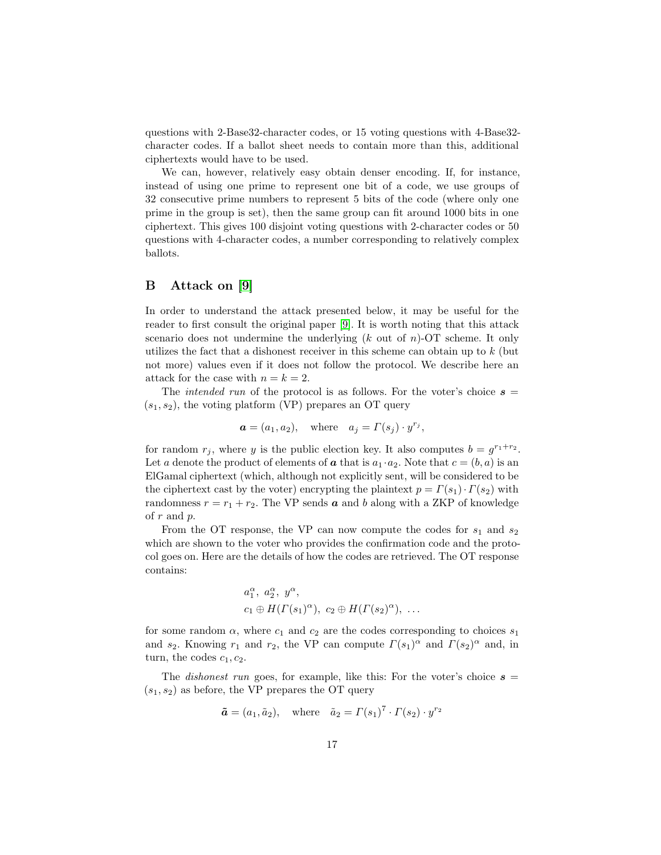questions with 2-Base32-character codes, or 15 voting questions with 4-Base32 character codes. If a ballot sheet needs to contain more than this, additional ciphertexts would have to be used.

We can, however, relatively easy obtain denser encoding. If, for instance, instead of using one prime to represent one bit of a code, we use groups of 32 consecutive prime numbers to represent 5 bits of the code (where only one prime in the group is set), then the same group can fit around 1000 bits in one ciphertext. This gives 100 disjoint voting questions with 2-character codes or 50 questions with 4-character codes, a number corresponding to relatively complex ballots.

## <span id="page-16-0"></span>B Attack on [\[9\]](#page-14-4)

In order to understand the attack presented below, it may be useful for the reader to first consult the original paper [\[9\]](#page-14-4). It is worth noting that this attack scenario does not undermine the underlying  $(k$  out of  $n)$ -OT scheme. It only utilizes the fact that a dishonest receiver in this scheme can obtain up to  $k$  (but not more) values even if it does not follow the protocol. We describe here an attack for the case with  $n = k = 2$ .

The *intended run* of the protocol is as follows. For the voter's choice  $s =$  $(s_1, s_2)$ , the voting platform (VP) prepares an OT query

$$
\mathbf{a} = (a_1, a_2), \quad \text{where} \quad a_j = \Gamma(s_j) \cdot y^{r_j},
$$

for random  $r_j$ , where y is the public election key. It also computes  $b = g^{r_1+r_2}$ . Let a denote the product of elements of **a** that is  $a_1 \cdot a_2$ . Note that  $c = (b, a)$  is an ElGamal ciphertext (which, although not explicitly sent, will be considered to be the ciphertext cast by the voter) encrypting the plaintext  $p = \Gamma(s_1) \cdot \Gamma(s_2)$  with randomness  $r = r_1 + r_2$ . The VP sends  $\boldsymbol{a}$  and  $\boldsymbol{b}$  along with a ZKP of knowledge of r and p.

From the OT response, the VP can now compute the codes for  $s_1$  and  $s_2$ which are shown to the voter who provides the confirmation code and the protocol goes on. Here are the details of how the codes are retrieved. The OT response contains:

$$
a_1^{\alpha}, a_2^{\alpha}, y^{\alpha},
$$
  
\n $c_1 \oplus H(\Gamma(s_1)^{\alpha}), c_2 \oplus H(\Gamma(s_2)^{\alpha}), \dots$ 

for some random  $\alpha$ , where  $c_1$  and  $c_2$  are the codes corresponding to choices  $s_1$ and s<sub>2</sub>. Knowing  $r_1$  and  $r_2$ , the VP can compute  $\Gamma(s_1)^\alpha$  and  $\Gamma(s_2)^\alpha$  and, in turn, the codes  $c_1, c_2$ .

The *dishonest run* goes, for example, like this: For the voter's choice  $s =$  $(s_1, s_2)$  as before, the VP prepares the OT query

$$
\tilde{\boldsymbol{a}} = (a_1, \tilde{a}_2), \text{ where } \tilde{a}_2 = \Gamma(s_1)^7 \cdot \Gamma(s_2) \cdot y^{r_2}
$$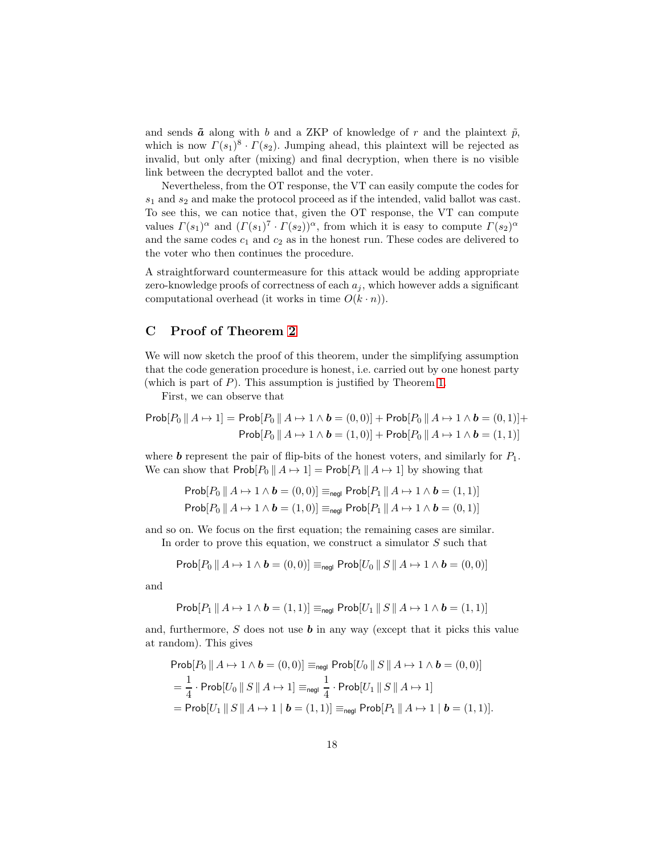and sends  $\tilde{a}$  along with b and a ZKP of knowledge of r and the plaintext  $\tilde{p}$ , which is now  $\Gamma(s_1)^8 \cdot \Gamma(s_2)$ . Jumping ahead, this plaintext will be rejected as invalid, but only after (mixing) and final decryption, when there is no visible link between the decrypted ballot and the voter.

Nevertheless, from the OT response, the VT can easily compute the codes for  $s_1$  and  $s_2$  and make the protocol proceed as if the intended, valid ballot was cast. To see this, we can notice that, given the OT response, the VT can compute values  $\Gamma(s_1)^\alpha$  and  $(\Gamma(s_1)^\gamma \cdot \Gamma(s_2))^\alpha$ , from which it is easy to compute  $\Gamma(s_2)^\alpha$ and the same codes  $c_1$  and  $c_2$  as in the honest run. These codes are delivered to the voter who then continues the procedure.

A straightforward countermeasure for this attack would be adding appropriate zero-knowledge proofs of correctness of each  $a_i$ , which however adds a significant computational overhead (it works in time  $O(k \cdot n)$ ).

## <span id="page-17-0"></span>C Proof of Theorem [2](#page-12-1)

We will now sketch the proof of this theorem, under the simplifying assumption that the code generation procedure is honest, i.e. carried out by one honest party (which is part of  $P$ ). This assumption is justified by Theorem [1.](#page-11-1)

First, we can observe that

$$
Prob[P_0 \mid A \mapsto 1] = Prob[P_0 \mid A \mapsto 1 \wedge \mathbf{b} = (0,0)] + Prob[P_0 \mid A \mapsto 1 \wedge \mathbf{b} = (0,1)] +
$$
  
Prob[P\_0 \mid A \mapsto 1 \wedge \mathbf{b} = (1,0)] + Prob[P\_0 \mid A \mapsto 1 \wedge \mathbf{b} = (1,1)]

where **b** represent the pair of flip-bits of the honest voters, and similarly for  $P_1$ . We can show that  $\text{Prob}[P_0 \mid A \mapsto 1] = \text{Prob}[P_1 \mid A \mapsto 1]$  by showing that

$$
\mathsf{Prob}[P_0 \parallel A \mapsto 1 \land \mathbf{b} = (0,0)] \equiv_{\mathsf{negl}} \mathsf{Prob}[P_1 \parallel A \mapsto 1 \land \mathbf{b} = (1,1)]
$$

$$
\mathsf{Prob}[P_0 \parallel A \mapsto 1 \land \mathbf{b} = (1,0)] \equiv_{\mathsf{negl}} \mathsf{Prob}[P_1 \parallel A \mapsto 1 \land \mathbf{b} = (0,1)]
$$

and so on. We focus on the first equation; the remaining cases are similar. In order to prove this equation, we construct a simulator  $S$  such that

$$
\mathsf{Prob}[P_0 \mid\!\mid A \mapsto 1 \land \boldsymbol{b} = (0,0)] \equiv_{\mathsf{negl}} \mathsf{Prob}[U_0 \mid\!\mid S \mid\!\mid A \mapsto 1 \land \boldsymbol{b} = (0,0)]
$$

and

$$
\mathsf{Prob}[P_1 \mid A \mapsto 1 \land \mathbf{b} = (1,1)] \equiv_{\mathsf{negl}} \mathsf{Prob}[U_1 \mid\mid S \mid\mid A \mapsto 1 \land \mathbf{b} = (1,1)]
$$

and, furthermore,  $S$  does not use  $\boldsymbol{b}$  in any way (except that it picks this value at random). This gives

$$
\begin{aligned} &\text{Prob}[P_0 \parallel A \mapsto 1 \wedge \bm{b} = (0,0)] \equiv_{\text{negl}} \text{Prob}[U_0 \parallel S \parallel A \mapsto 1 \wedge \bm{b} = (0,0)] \\ &= \frac{1}{4} \cdot \text{Prob}[U_0 \parallel S \parallel A \mapsto 1] \equiv_{\text{negl}} \frac{1}{4} \cdot \text{Prob}[U_1 \parallel S \parallel A \mapsto 1] \\ &= \text{Prob}[U_1 \parallel S \parallel A \mapsto 1 \mid \bm{b} = (1,1)] \equiv_{\text{negl}} \text{Prob}[P_1 \parallel A \mapsto 1 \mid \bm{b} = (1,1)]. \end{aligned}
$$